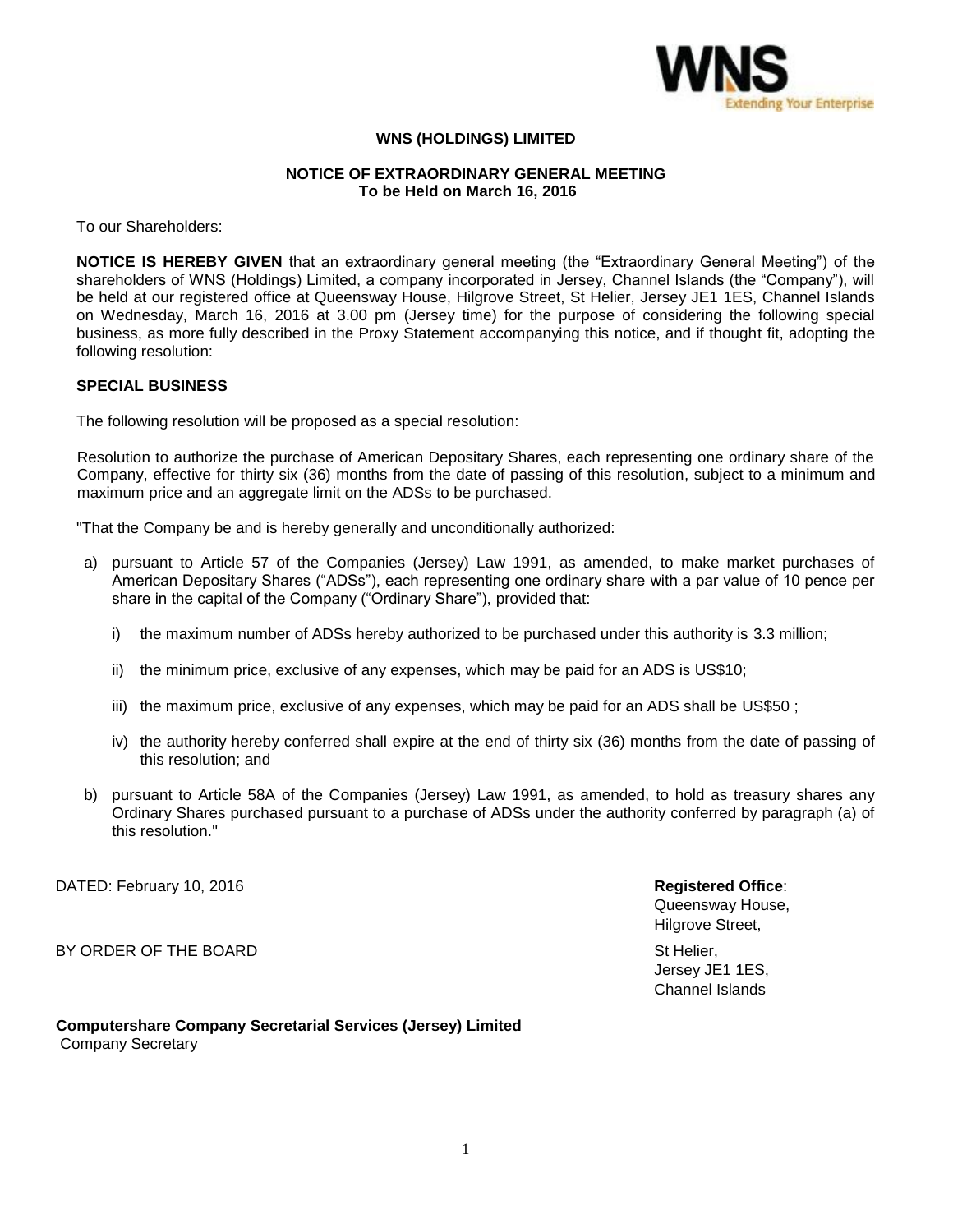

# **WNS (HOLDINGS) LIMITED**

## **NOTICE OF EXTRAORDINARY GENERAL MEETING To be Held on March 16, 2016**

To our Shareholders:

**NOTICE IS HEREBY GIVEN** that an extraordinary general meeting (the "Extraordinary General Meeting") of the shareholders of WNS (Holdings) Limited, a company incorporated in Jersey, Channel Islands (the "Company"), will be held at our registered office at Queensway House, Hilgrove Street, St Helier, Jersey JE1 1ES, Channel Islands on Wednesday, March 16, 2016 at 3.00 pm (Jersey time) for the purpose of considering the following special business, as more fully described in the Proxy Statement accompanying this notice, and if thought fit, adopting the following resolution:

### **SPECIAL BUSINESS**

The following resolution will be proposed as a special resolution:

Resolution to authorize the purchase of American Depositary Shares, each representing one ordinary share of the Company, effective for thirty six (36) months from the date of passing of this resolution, subject to a minimum and maximum price and an aggregate limit on the ADSs to be purchased.

"That the Company be and is hereby generally and unconditionally authorized:

- a) pursuant to Article 57 of the Companies (Jersey) Law 1991, as amended, to make market purchases of American Depositary Shares ("ADSs"), each representing one ordinary share with a par value of 10 pence per share in the capital of the Company ("Ordinary Share"), provided that:
	- i) the maximum number of ADSs hereby authorized to be purchased under this authority is 3.3 million;
	- ii) the minimum price, exclusive of any expenses, which may be paid for an ADS is US\$10;
	- iii) the maximum price, exclusive of any expenses, which may be paid for an ADS shall be US\$50;
	- iv) the authority hereby conferred shall expire at the end of thirty six (36) months from the date of passing of this resolution; and
- b) pursuant to Article 58A of the Companies (Jersey) Law 1991, as amended, to hold as treasury shares any Ordinary Shares purchased pursuant to a purchase of ADSs under the authority conferred by paragraph (a) of this resolution."

DATED: February 10, 2016 **Registered Office**:

BY ORDER OF THE BOARD State of the BOARD State of the State of the State of the State of the State of the State of the State of the State of the State of the State of the State of the State of the State of the State of the

# **Computershare Company Secretarial Services (Jersey) Limited** Company Secretary

Queensway House, Hilgrove Street, Jersey JE1 1ES, Channel Islands